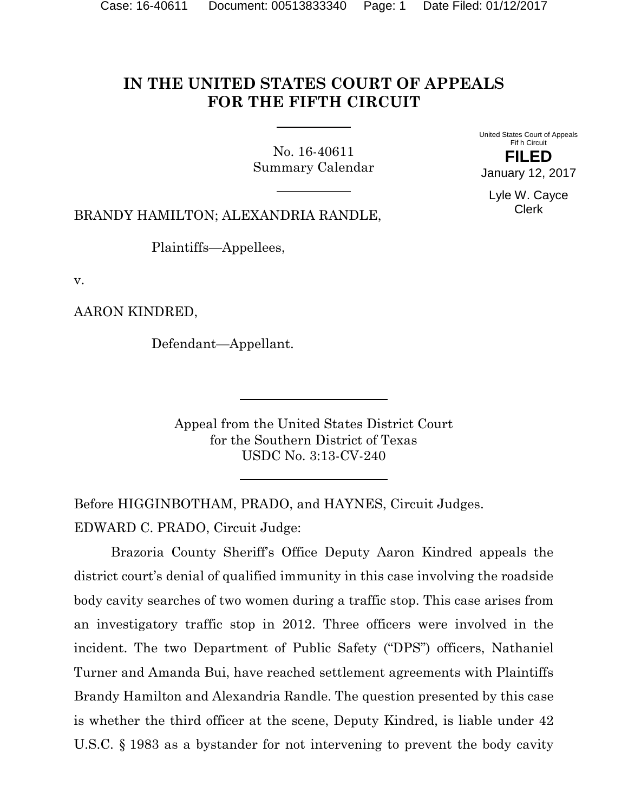# **IN THE UNITED STATES COURT OF APPEALS FOR THE FIFTH CIRCUIT**

No. 16-40611 Summary Calendar United States Court of Appeals Fif h Circuit **FILED** January 12, 2017

> Lyle W. Cayce Clerk

BRANDY HAMILTON; ALEXANDRIA RANDLE,

Plaintiffs—Appellees,

v.

AARON KINDRED,

Defendant—Appellant.

Appeal from the United States District Court for the Southern District of Texas USDC No. 3:13-CV-240

Before HIGGINBOTHAM, PRADO, and HAYNES, Circuit Judges. EDWARD C. PRADO, Circuit Judge:

Brazoria County Sheriff's Office Deputy Aaron Kindred appeals the district court's denial of qualified immunity in this case involving the roadside body cavity searches of two women during a traffic stop. This case arises from an investigatory traffic stop in 2012. Three officers were involved in the incident. The two Department of Public Safety ("DPS") officers, Nathaniel Turner and Amanda Bui, have reached settlement agreements with Plaintiffs Brandy Hamilton and Alexandria Randle. The question presented by this case is whether the third officer at the scene, Deputy Kindred, is liable under 42 U.S.C. § 1983 as a bystander for not intervening to prevent the body cavity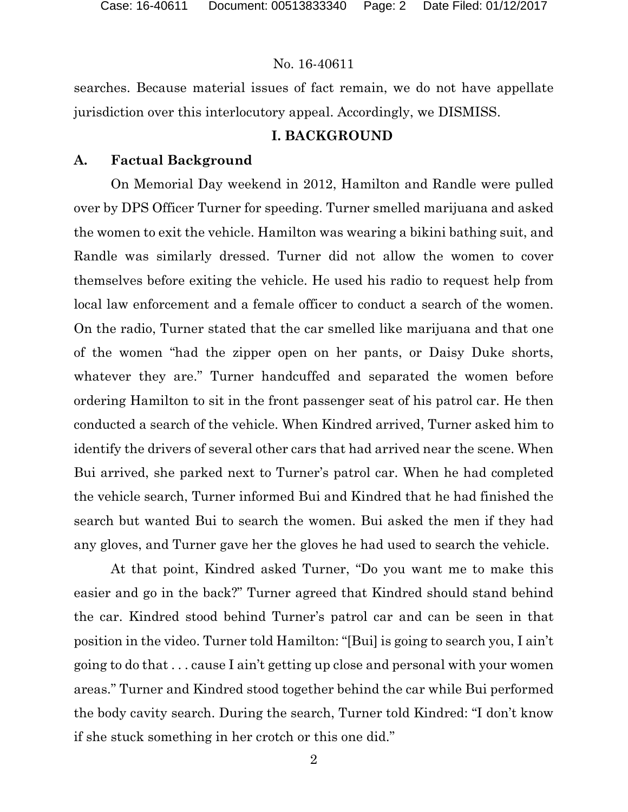searches. Because material issues of fact remain, we do not have appellate jurisdiction over this interlocutory appeal. Accordingly, we DISMISS.

# **I. BACKGROUND**

# **A. Factual Background**

On Memorial Day weekend in 2012, Hamilton and Randle were pulled over by DPS Officer Turner for speeding. Turner smelled marijuana and asked the women to exit the vehicle. Hamilton was wearing a bikini bathing suit, and Randle was similarly dressed. Turner did not allow the women to cover themselves before exiting the vehicle. He used his radio to request help from local law enforcement and a female officer to conduct a search of the women. On the radio, Turner stated that the car smelled like marijuana and that one of the women "had the zipper open on her pants, or Daisy Duke shorts, whatever they are." Turner handcuffed and separated the women before ordering Hamilton to sit in the front passenger seat of his patrol car. He then conducted a search of the vehicle. When Kindred arrived, Turner asked him to identify the drivers of several other cars that had arrived near the scene. When Bui arrived, she parked next to Turner's patrol car. When he had completed the vehicle search, Turner informed Bui and Kindred that he had finished the search but wanted Bui to search the women. Bui asked the men if they had any gloves, and Turner gave her the gloves he had used to search the vehicle.

At that point, Kindred asked Turner, "Do you want me to make this easier and go in the back?" Turner agreed that Kindred should stand behind the car. Kindred stood behind Turner's patrol car and can be seen in that position in the video. Turner told Hamilton: "[Bui] is going to search you, I ain't going to do that . . . cause I ain't getting up close and personal with your women areas." Turner and Kindred stood together behind the car while Bui performed the body cavity search. During the search, Turner told Kindred: "I don't know if she stuck something in her crotch or this one did."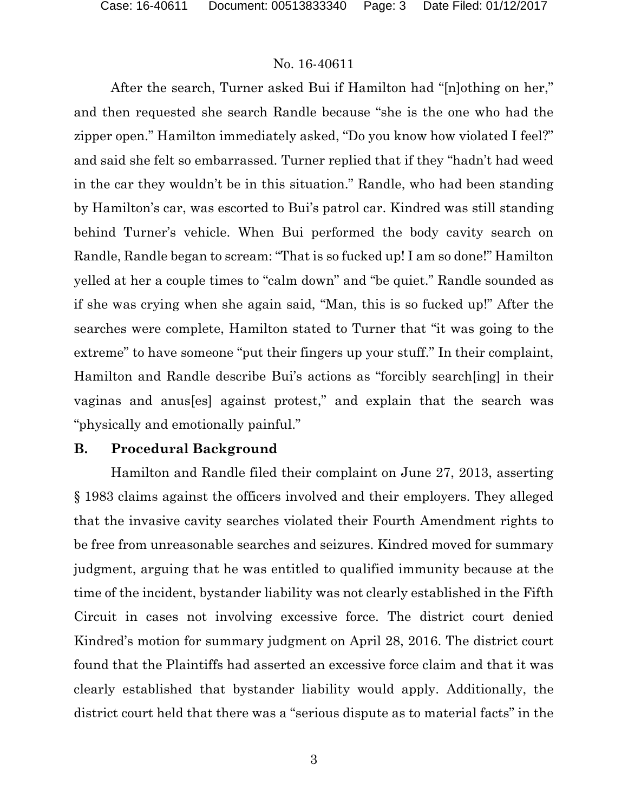After the search, Turner asked Bui if Hamilton had "[n]othing on her," and then requested she search Randle because "she is the one who had the zipper open." Hamilton immediately asked, "Do you know how violated I feel?" and said she felt so embarrassed. Turner replied that if they "hadn't had weed in the car they wouldn't be in this situation." Randle, who had been standing by Hamilton's car, was escorted to Bui's patrol car. Kindred was still standing behind Turner's vehicle. When Bui performed the body cavity search on Randle, Randle began to scream: "That is so fucked up! I am so done!" Hamilton yelled at her a couple times to "calm down" and "be quiet." Randle sounded as if she was crying when she again said, "Man, this is so fucked up!" After the searches were complete, Hamilton stated to Turner that "it was going to the extreme" to have someone "put their fingers up your stuff." In their complaint, Hamilton and Randle describe Bui's actions as "forcibly search[ing] in their vaginas and anus[es] against protest," and explain that the search was "physically and emotionally painful."

#### **B. Procedural Background**

Hamilton and Randle filed their complaint on June 27, 2013, asserting § 1983 claims against the officers involved and their employers. They alleged that the invasive cavity searches violated their Fourth Amendment rights to be free from unreasonable searches and seizures. Kindred moved for summary judgment, arguing that he was entitled to qualified immunity because at the time of the incident, bystander liability was not clearly established in the Fifth Circuit in cases not involving excessive force. The district court denied Kindred's motion for summary judgment on April 28, 2016. The district court found that the Plaintiffs had asserted an excessive force claim and that it was clearly established that bystander liability would apply. Additionally, the district court held that there was a "serious dispute as to material facts" in the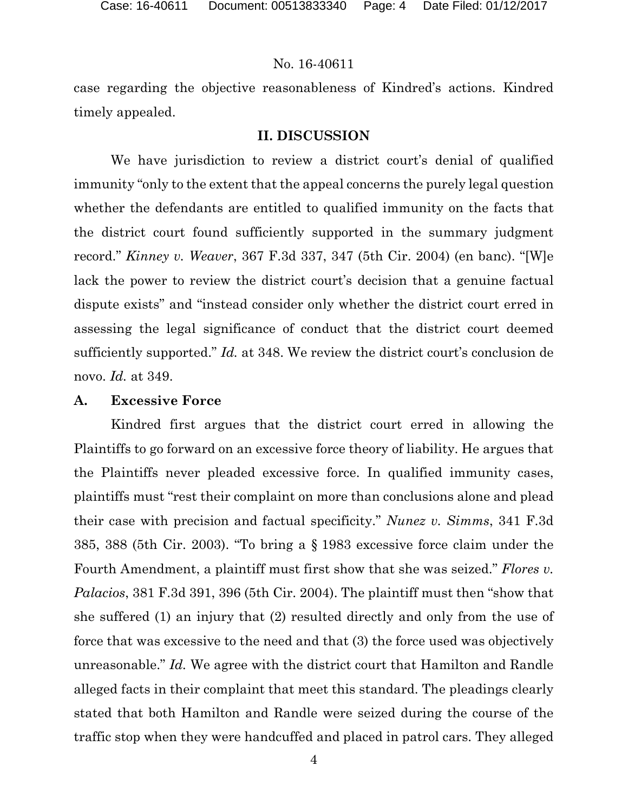case regarding the objective reasonableness of Kindred's actions. Kindred timely appealed.

### **II. DISCUSSION**

We have jurisdiction to review a district court's denial of qualified immunity "only to the extent that the appeal concerns the purely legal question whether the defendants are entitled to qualified immunity on the facts that the district court found sufficiently supported in the summary judgment record." *Kinney v. Weaver*, 367 F.3d 337, 347 (5th Cir. 2004) (en banc). "[W]e lack the power to review the district court's decision that a genuine factual dispute exists" and "instead consider only whether the district court erred in assessing the legal significance of conduct that the district court deemed sufficiently supported." *Id.* at 348. We review the district court's conclusion de novo. *Id.* at 349.

### **A. Excessive Force**

 Kindred first argues that the district court erred in allowing the Plaintiffs to go forward on an excessive force theory of liability. He argues that the Plaintiffs never pleaded excessive force. In qualified immunity cases, plaintiffs must "rest their complaint on more than conclusions alone and plead their case with precision and factual specificity." *Nunez v. Simms*, 341 F.3d 385, 388 (5th Cir. 2003). "To bring a § 1983 excessive force claim under the Fourth Amendment, a plaintiff must first show that she was seized." *Flores v. Palacios*, 381 F.3d 391, 396 (5th Cir. 2004). The plaintiff must then "show that she suffered (1) an injury that (2) resulted directly and only from the use of force that was excessive to the need and that (3) the force used was objectively unreasonable." *Id.* We agree with the district court that Hamilton and Randle alleged facts in their complaint that meet this standard. The pleadings clearly stated that both Hamilton and Randle were seized during the course of the traffic stop when they were handcuffed and placed in patrol cars. They alleged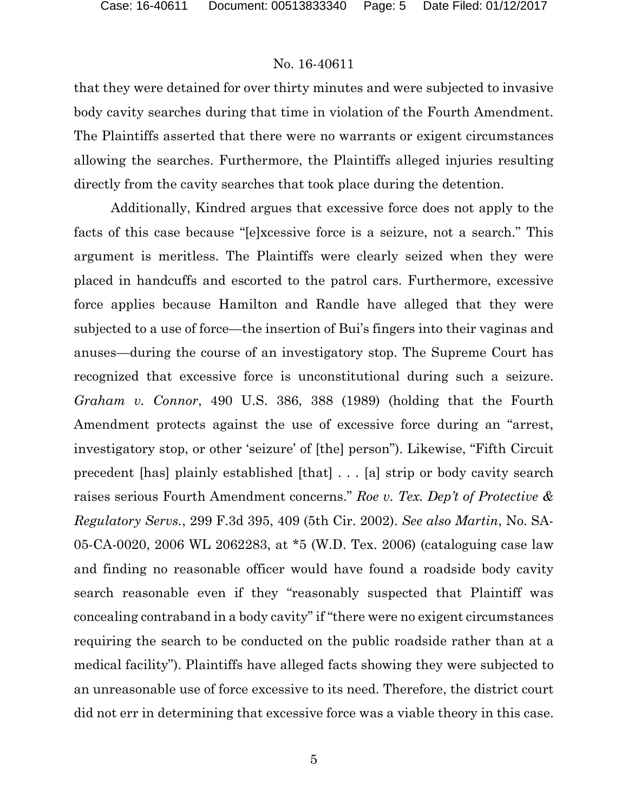that they were detained for over thirty minutes and were subjected to invasive body cavity searches during that time in violation of the Fourth Amendment. The Plaintiffs asserted that there were no warrants or exigent circumstances allowing the searches. Furthermore, the Plaintiffs alleged injuries resulting directly from the cavity searches that took place during the detention.

Additionally, Kindred argues that excessive force does not apply to the facts of this case because "[e]xcessive force is a seizure, not a search." This argument is meritless. The Plaintiffs were clearly seized when they were placed in handcuffs and escorted to the patrol cars. Furthermore, excessive force applies because Hamilton and Randle have alleged that they were subjected to a use of force—the insertion of Bui's fingers into their vaginas and anuses—during the course of an investigatory stop. The Supreme Court has recognized that excessive force is unconstitutional during such a seizure. *Graham v. Connor*, 490 U.S. 386, 388 (1989) (holding that the Fourth Amendment protects against the use of excessive force during an "arrest, investigatory stop, or other 'seizure' of [the] person"). Likewise, "Fifth Circuit precedent [has] plainly established [that] . . . [a] strip or body cavity search raises serious Fourth Amendment concerns." *Roe v. Tex. Dep't of Protective & Regulatory Servs.*, 299 F.3d 395, 409 (5th Cir. 2002). *See also Martin*, No. SA-05-CA-0020, 2006 WL 2062283, at \*5 (W.D. Tex. 2006) (cataloguing case law and finding no reasonable officer would have found a roadside body cavity search reasonable even if they "reasonably suspected that Plaintiff was concealing contraband in a body cavity" if "there were no exigent circumstances requiring the search to be conducted on the public roadside rather than at a medical facility"). Plaintiffs have alleged facts showing they were subjected to an unreasonable use of force excessive to its need. Therefore, the district court did not err in determining that excessive force was a viable theory in this case.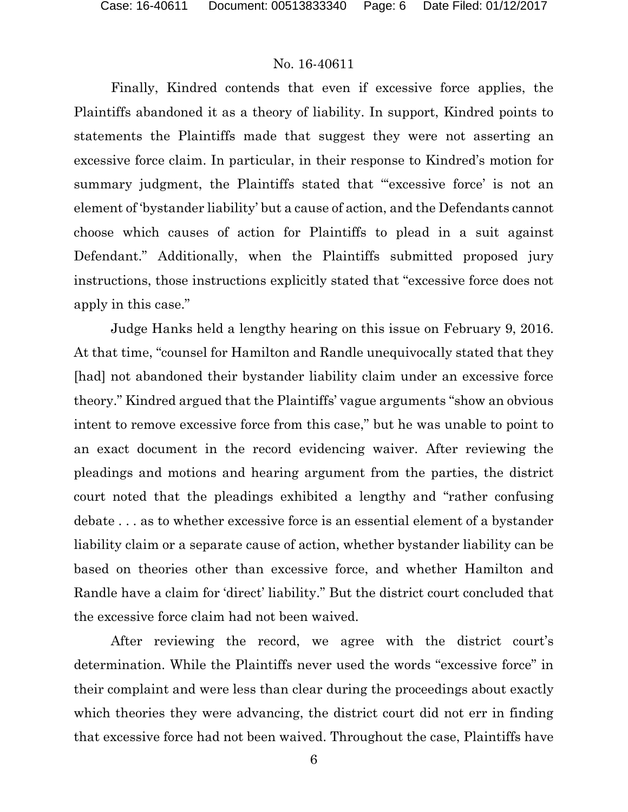Finally, Kindred contends that even if excessive force applies, the Plaintiffs abandoned it as a theory of liability. In support, Kindred points to statements the Plaintiffs made that suggest they were not asserting an excessive force claim. In particular, in their response to Kindred's motion for summary judgment, the Plaintiffs stated that "excessive force' is not an element of 'bystander liability' but a cause of action, and the Defendants cannot choose which causes of action for Plaintiffs to plead in a suit against Defendant." Additionally, when the Plaintiffs submitted proposed jury instructions, those instructions explicitly stated that "excessive force does not apply in this case."

Judge Hanks held a lengthy hearing on this issue on February 9, 2016. At that time, "counsel for Hamilton and Randle unequivocally stated that they [had] not abandoned their bystander liability claim under an excessive force theory." Kindred argued that the Plaintiffs' vague arguments "show an obvious intent to remove excessive force from this case," but he was unable to point to an exact document in the record evidencing waiver. After reviewing the pleadings and motions and hearing argument from the parties, the district court noted that the pleadings exhibited a lengthy and "rather confusing debate . . . as to whether excessive force is an essential element of a bystander liability claim or a separate cause of action, whether bystander liability can be based on theories other than excessive force, and whether Hamilton and Randle have a claim for 'direct' liability." But the district court concluded that the excessive force claim had not been waived.

After reviewing the record, we agree with the district court's determination. While the Plaintiffs never used the words "excessive force" in their complaint and were less than clear during the proceedings about exactly which theories they were advancing, the district court did not err in finding that excessive force had not been waived. Throughout the case, Plaintiffs have